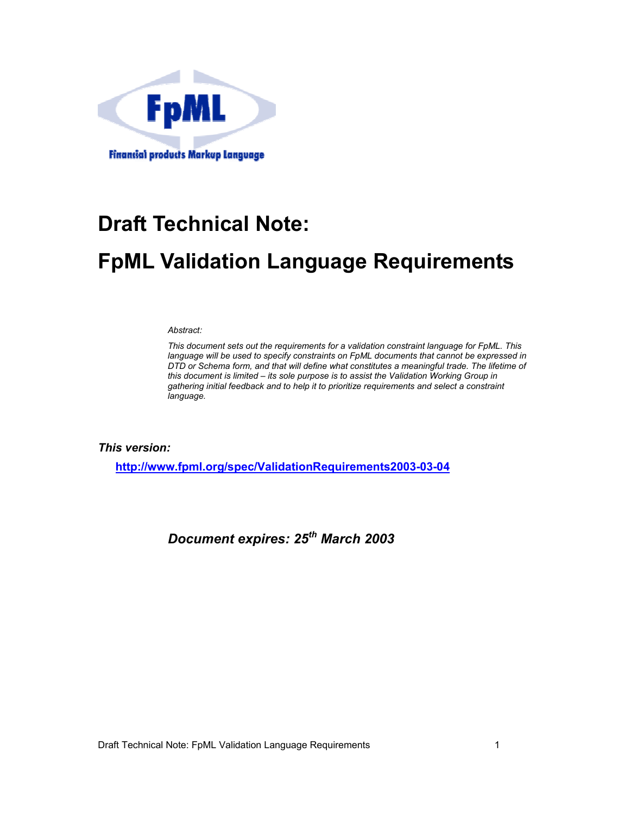

# **Draft Technical Note:**

# **FpML Validation Language Requirements**

*Abstract:* 

*This document sets out the requirements for a validation constraint language for FpML. This language will be used to specify constraints on FpML documents that cannot be expressed in DTD or Schema form, and that will define what constitutes a meaningful trade. The lifetime of this document is limited – its sole purpose is to assist the Validation Working Group in gathering initial feedback and to help it to prioritize requirements and select a constraint language.* 

*This version:* 

**http://www.fpml.org/spec/ValidationRequirements2003-03-04**

*Document expires: 25th March 2003*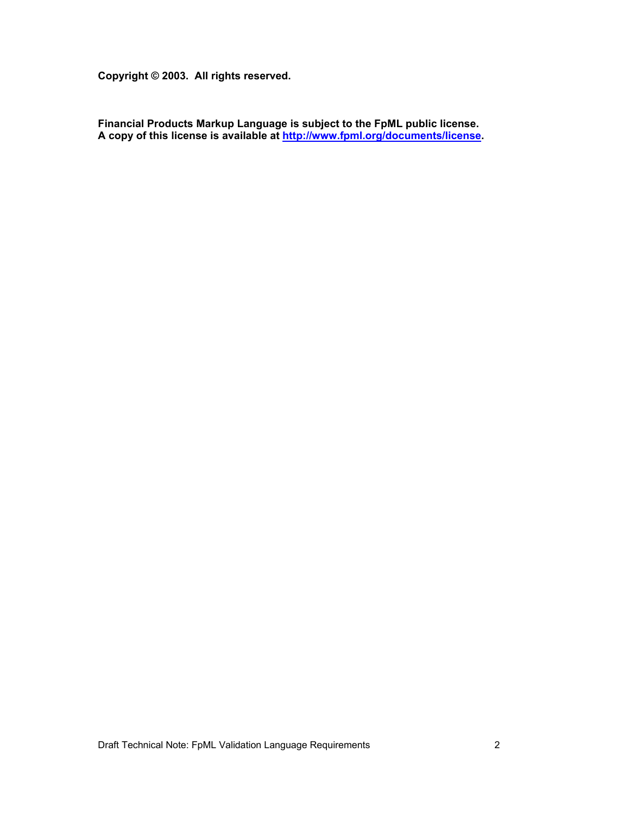**Copyright © 2003. All rights reserved.** 

**Financial Products Markup Language is subject to the FpML public license. A copy of this license is available at http://www.fpml.org/documents/license.** 

Draft Technical Note: FpML Validation Language Requirements 2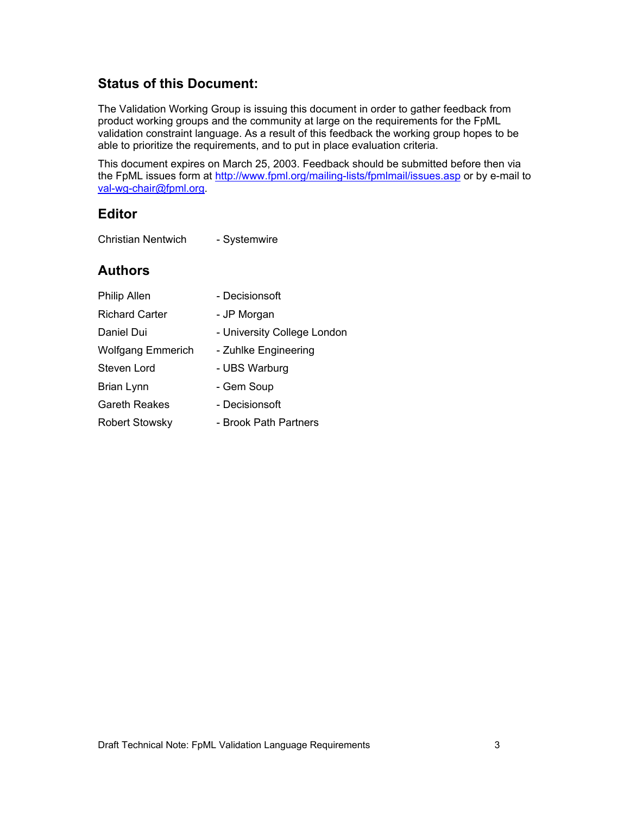#### **Status of this Document:**

The Validation Working Group is issuing this document in order to gather feedback from product working groups and the community at large on the requirements for the FpML validation constraint language. As a result of this feedback the working group hopes to be able to prioritize the requirements, and to put in place evaluation criteria.

This document expires on March 25, 2003. Feedback should be submitted before then via the FpML issues form at http://www.fpml.org/mailing-lists/fpmlmail/issues.asp or by e-mail to val-wg-chair@fpml.org.

#### **Editor**

| <b>Christian Nentwich</b> | - Systemwire |
|---------------------------|--------------|
|---------------------------|--------------|

#### **Authors**

| Philip Allen             | - Decisionsoft              |
|--------------------------|-----------------------------|
| <b>Richard Carter</b>    | - JP Morgan                 |
| Daniel Dui               | - University College London |
| <b>Wolfgang Emmerich</b> | - Zuhlke Engineering        |
| Steven Lord              | - UBS Warburg               |
| Brian Lynn               | - Gem Soup                  |
| <b>Gareth Reakes</b>     | - Decisionsoft              |
| <b>Robert Stowsky</b>    | - Brook Path Partners       |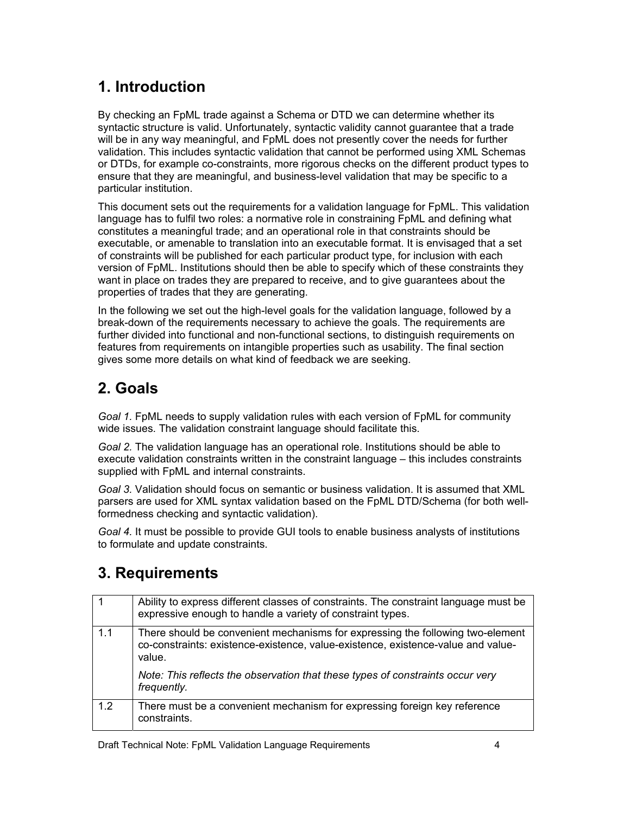## **1. Introduction**

By checking an FpML trade against a Schema or DTD we can determine whether its syntactic structure is valid. Unfortunately, syntactic validity cannot guarantee that a trade will be in any way meaningful, and FpML does not presently cover the needs for further validation. This includes syntactic validation that cannot be performed using XML Schemas or DTDs, for example co-constraints, more rigorous checks on the different product types to ensure that they are meaningful, and business-level validation that may be specific to a particular institution.

This document sets out the requirements for a validation language for FpML. This validation language has to fulfil two roles: a normative role in constraining FpML and defining what constitutes a meaningful trade; and an operational role in that constraints should be executable, or amenable to translation into an executable format. It is envisaged that a set of constraints will be published for each particular product type, for inclusion with each version of FpML. Institutions should then be able to specify which of these constraints they want in place on trades they are prepared to receive, and to give guarantees about the properties of trades that they are generating.

In the following we set out the high-level goals for the validation language, followed by a break-down of the requirements necessary to achieve the goals. The requirements are further divided into functional and non-functional sections, to distinguish requirements on features from requirements on intangible properties such as usability. The final section gives some more details on what kind of feedback we are seeking.

## **2. Goals**

*Goal 1.* FpML needs to supply validation rules with each version of FpML for community wide issues. The validation constraint language should facilitate this.

*Goal 2.* The validation language has an operational role. Institutions should be able to execute validation constraints written in the constraint language – this includes constraints supplied with FpML and internal constraints.

*Goal 3.* Validation should focus on semantic or business validation. It is assumed that XML parsers are used for XML syntax validation based on the FpML DTD/Schema (for both wellformedness checking and syntactic validation).

*Goal 4.* It must be possible to provide GUI tools to enable business analysts of institutions to formulate and update constraints.

## **3. Requirements**

|     | Ability to express different classes of constraints. The constraint language must be<br>expressive enough to handle a variety of constraint types.                           |
|-----|------------------------------------------------------------------------------------------------------------------------------------------------------------------------------|
| 1.1 | There should be convenient mechanisms for expressing the following two-element<br>co-constraints: existence-existence, value-existence, existence-value and value-<br>value. |
|     | Note: This reflects the observation that these types of constraints occur very<br>frequently.                                                                                |
| 1.2 | There must be a convenient mechanism for expressing foreign key reference<br>constraints.                                                                                    |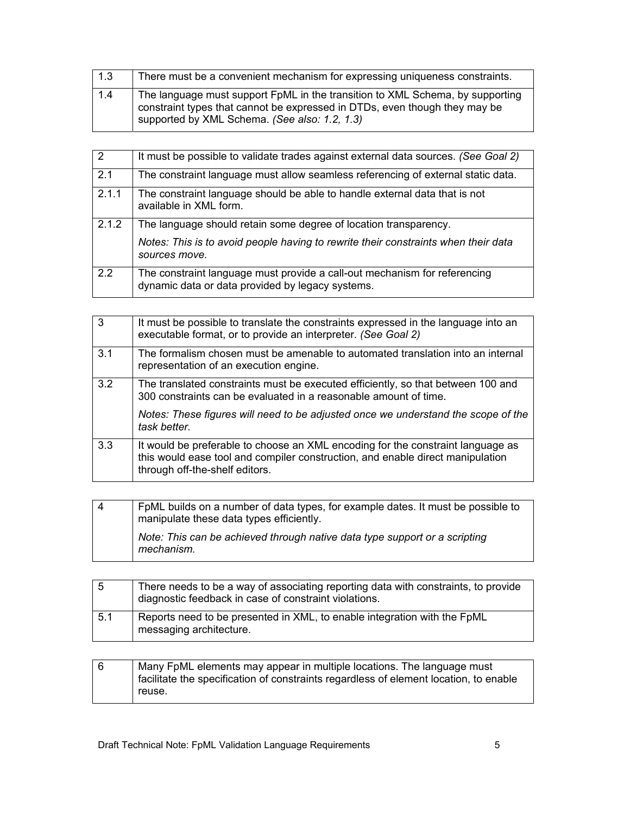| 1.3 | There must be a convenient mechanism for expressing uniqueness constraints.                                                                                                                                  |
|-----|--------------------------------------------------------------------------------------------------------------------------------------------------------------------------------------------------------------|
| 1.4 | The language must support FpML in the transition to XML Schema, by supporting<br>constraint types that cannot be expressed in DTDs, even though they may be<br>supported by XML Schema. (See also: 1.2, 1.3) |

| 2     | It must be possible to validate trades against external data sources. (See Goal 2)                                            |
|-------|-------------------------------------------------------------------------------------------------------------------------------|
| 2.1   | The constraint language must allow seamless referencing of external static data.                                              |
| 2.1.1 | The constraint language should be able to handle external data that is not<br>available in XML form.                          |
| 2.1.2 | The language should retain some degree of location transparency.                                                              |
|       | Notes: This is to avoid people having to rewrite their constraints when their data<br>sources move.                           |
| 2.2   | The constraint language must provide a call-out mechanism for referencing<br>dynamic data or data provided by legacy systems. |

| $\overline{3}$ | It must be possible to translate the constraints expressed in the language into an<br>executable format, or to provide an interpreter. (See Goal 2)                                                 |
|----------------|-----------------------------------------------------------------------------------------------------------------------------------------------------------------------------------------------------|
| 3.1            | The formalism chosen must be amenable to automated translation into an internal<br>representation of an execution engine.                                                                           |
| 3.2            | The translated constraints must be executed efficiently, so that between 100 and<br>300 constraints can be evaluated in a reasonable amount of time.                                                |
|                | Notes: These figures will need to be adjusted once we understand the scope of the<br>task better.                                                                                                   |
| 3.3            | It would be preferable to choose an XML encoding for the constraint language as<br>this would ease tool and compiler construction, and enable direct manipulation<br>through off-the-shelf editors. |

| l 4 | FpML builds on a number of data types, for example dates. It must be possible to<br>manipulate these data types efficiently. |
|-----|------------------------------------------------------------------------------------------------------------------------------|
|     | Note: This can be achieved through native data type support or a scripting<br>mechanism.                                     |

| l 5 | There needs to be a way of associating reporting data with constraints, to provide<br>diagnostic feedback in case of constraint violations. |
|-----|---------------------------------------------------------------------------------------------------------------------------------------------|
| 5.1 | Reports need to be presented in XML, to enable integration with the FpML<br>messaging architecture.                                         |

| Many FpML elements may appear in multiple locations. The language must                |
|---------------------------------------------------------------------------------------|
| facilitate the specification of constraints regardless of element location, to enable |
| reuse.                                                                                |
|                                                                                       |